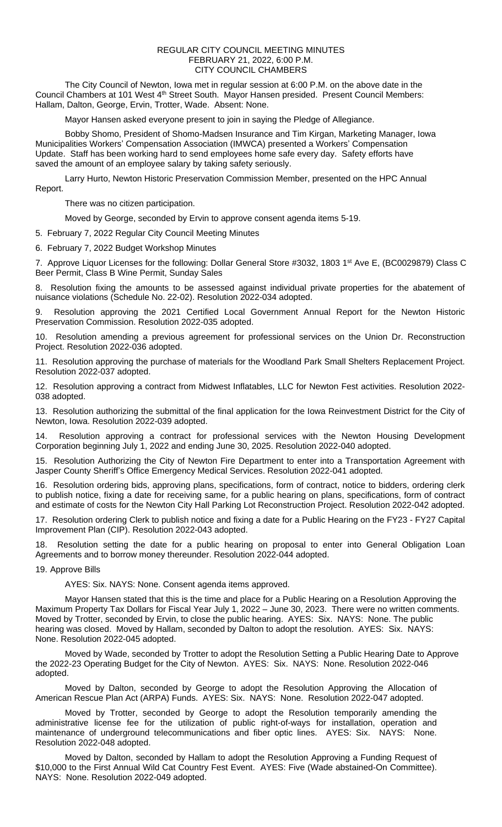## REGULAR CITY COUNCIL MEETING MINUTES FEBRUARY 21, 2022, 6:00 P.M. CITY COUNCIL CHAMBERS

The City Council of Newton, Iowa met in regular session at 6:00 P.M. on the above date in the Council Chambers at 101 West 4th Street South. Mayor Hansen presided. Present Council Members: Hallam, Dalton, George, Ervin, Trotter, Wade. Absent: None.

Mayor Hansen asked everyone present to join in saying the Pledge of Allegiance.

Bobby Shomo, President of Shomo-Madsen Insurance and Tim Kirgan, Marketing Manager, Iowa Municipalities Workers' Compensation Association (IMWCA) presented a Workers' Compensation Update. Staff has been working hard to send employees home safe every day. Safety efforts have saved the amount of an employee salary by taking safety seriously.

Larry Hurto, Newton Historic Preservation Commission Member, presented on the HPC Annual Report.

There was no citizen participation.

Moved by George, seconded by Ervin to approve consent agenda items 5-19.

5. February 7, 2022 Regular City Council Meeting Minutes

6. February 7, 2022 Budget Workshop Minutes

7. Approve Liquor Licenses for the following: Dollar General Store #3032, 1803 1<sup>st</sup> Ave E, (BC0029879) Class C Beer Permit, Class B Wine Permit, Sunday Sales

8. Resolution fixing the amounts to be assessed against individual private properties for the abatement of nuisance violations (Schedule No. 22-02). Resolution 2022-034 adopted.

9. Resolution approving the 2021 Certified Local Government Annual Report for the Newton Historic Preservation Commission. Resolution 2022-035 adopted.

10. Resolution amending a previous agreement for professional services on the Union Dr. Reconstruction Project. Resolution 2022-036 adopted.

11. Resolution approving the purchase of materials for the Woodland Park Small Shelters Replacement Project. Resolution 2022-037 adopted.

12. Resolution approving a contract from Midwest Inflatables, LLC for Newton Fest activities. Resolution 2022- 038 adopted.

13. Resolution authorizing the submittal of the final application for the Iowa Reinvestment District for the City of Newton, Iowa. Resolution 2022-039 adopted.

14. Resolution approving a contract for professional services with the Newton Housing Development Corporation beginning July 1, 2022 and ending June 30, 2025. Resolution 2022-040 adopted.

15. Resolution Authorizing the City of Newton Fire Department to enter into a Transportation Agreement with Jasper County Sheriff's Office Emergency Medical Services. Resolution 2022-041 adopted.

16. Resolution ordering bids, approving plans, specifications, form of contract, notice to bidders, ordering clerk to publish notice, fixing a date for receiving same, for a public hearing on plans, specifications, form of contract and estimate of costs for the Newton City Hall Parking Lot Reconstruction Project. Resolution 2022-042 adopted.

17. Resolution ordering Clerk to publish notice and fixing a date for a Public Hearing on the FY23 - FY27 Capital Improvement Plan (CIP). Resolution 2022-043 adopted.

Resolution setting the date for a public hearing on proposal to enter into General Obligation Loan Agreements and to borrow money thereunder. Resolution 2022-044 adopted.

19. Approve Bills

AYES: Six. NAYS: None. Consent agenda items approved.

Mayor Hansen stated that this is the time and place for a Public Hearing on a Resolution Approving the Maximum Property Tax Dollars for Fiscal Year July 1, 2022 – June 30, 2023. There were no written comments. Moved by Trotter, seconded by Ervin, to close the public hearing. AYES: Six. NAYS: None. The public hearing was closed. Moved by Hallam, seconded by Dalton to adopt the resolution. AYES: Six. NAYS: None. Resolution 2022-045 adopted.

Moved by Wade, seconded by Trotter to adopt the Resolution Setting a Public Hearing Date to Approve the 2022-23 Operating Budget for the City of Newton. AYES: Six. NAYS: None. Resolution 2022-046 adopted.

Moved by Dalton, seconded by George to adopt the Resolution Approving the Allocation of American Rescue Plan Act (ARPA) Funds. AYES: Six. NAYS: None. Resolution 2022-047 adopted.

Moved by Trotter, seconded by George to adopt the Resolution temporarily amending the administrative license fee for the utilization of public right-of-ways for installation, operation and maintenance of underground telecommunications and fiber optic lines. AYES: Six. NAYS: None. Resolution 2022-048 adopted.

Moved by Dalton, seconded by Hallam to adopt the Resolution Approving a Funding Request of \$10,000 to the First Annual Wild Cat Country Fest Event. AYES: Five (Wade abstained-On Committee). NAYS: None. Resolution 2022-049 adopted.